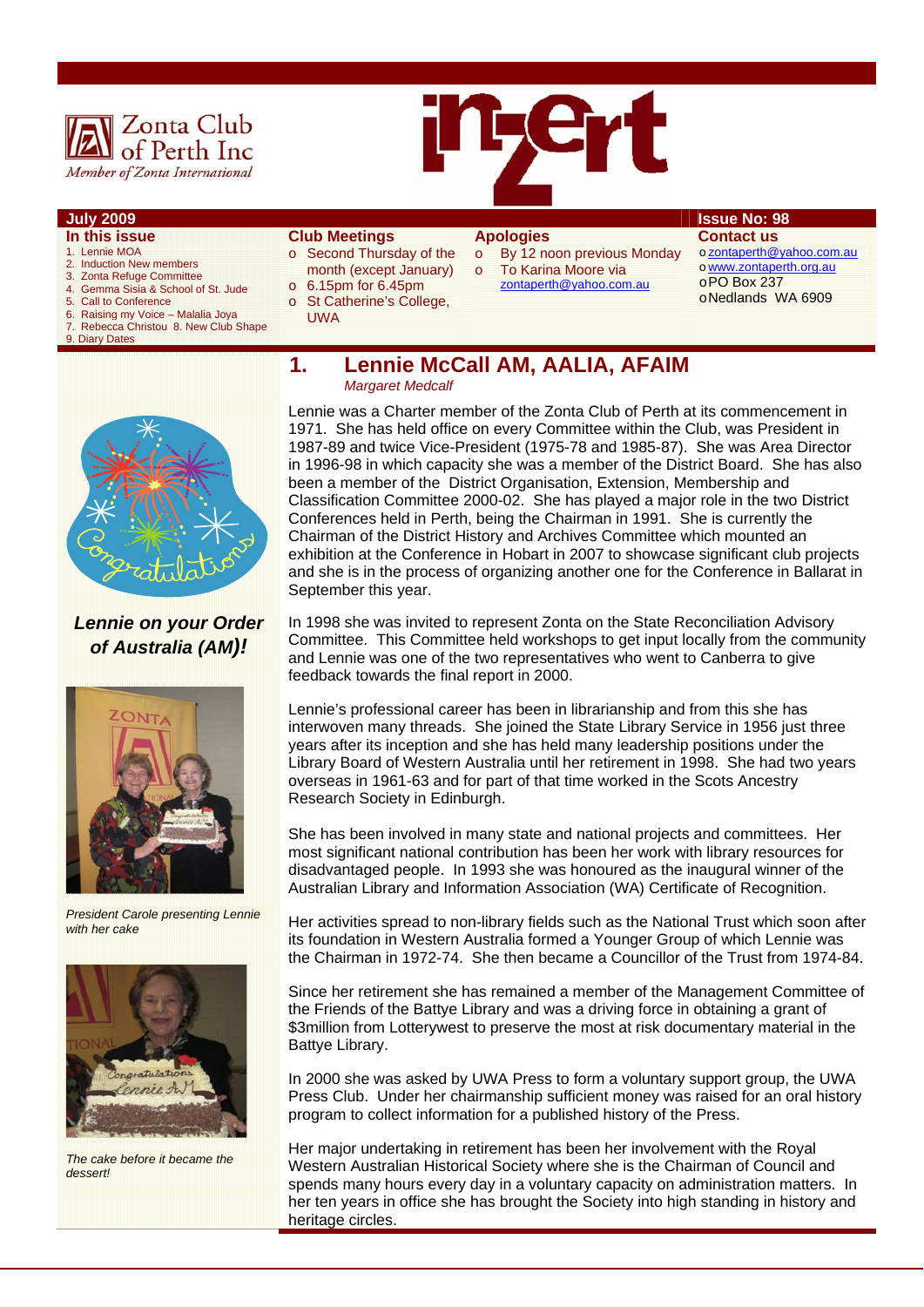

- **In this issue**
- 1. Lennie MOA<br>2. Induction Ne
- 2. Induction New members<br>3. Zonta Refuge Committee 3. Zonta Refuge Committee
- 4. Gemma Sisia & School of St. Jude
- 5. Call to Conference
- 6. Raising my Voice Malalia Joya 7. Rebecca Christou 8. New Club Shape
- 9. Diary Dates

**Club Meetings** 

- o Second Thursday of the month (except January) o 6.15pm for 6.45pm
- o St Catherine's College,
	- UWA

# **Apologies**

- o By 12 noon previous Monday o To Karina Moore via
	- zontaperth@yahoo.com.au

## **July 2009 Issue No: 98**

**Contact us**  o zontaperth@yahoo.com.au o www.zontaperth.org.au o PO Box 237 o Nedlands WA 6909

*Lennie on your Order of Australia (AM)!* 



*President Carole presenting Lennie with her cake* 



*The cake before it became the dessert!* 

**1. Lennie McCall AM, AALIA, AFAIM**   *Margaret Medcalf* 

Lennie was a Charter member of the Zonta Club of Perth at its commencement in 1971. She has held office on every Committee within the Club, was President in 1987-89 and twice Vice-President (1975-78 and 1985-87). She was Area Director in 1996-98 in which capacity she was a member of the District Board. She has also been a member of the District Organisation, Extension, Membership and Classification Committee 2000-02. She has played a major role in the two District Conferences held in Perth, being the Chairman in 1991. She is currently the Chairman of the District History and Archives Committee which mounted an exhibition at the Conference in Hobart in 2007 to showcase significant club projects and she is in the process of organizing another one for the Conference in Ballarat in September this year.

In 1998 she was invited to represent Zonta on the State Reconciliation Advisory Committee. This Committee held workshops to get input locally from the community and Lennie was one of the two representatives who went to Canberra to give feedback towards the final report in 2000.

Lennie's professional career has been in librarianship and from this she has interwoven many threads. She joined the State Library Service in 1956 just three years after its inception and she has held many leadership positions under the Library Board of Western Australia until her retirement in 1998. She had two years overseas in 1961-63 and for part of that time worked in the Scots Ancestry Research Society in Edinburgh.

She has been involved in many state and national projects and committees. Her most significant national contribution has been her work with library resources for disadvantaged people. In 1993 she was honoured as the inaugural winner of the Australian Library and Information Association (WA) Certificate of Recognition.

Her activities spread to non-library fields such as the National Trust which soon after its foundation in Western Australia formed a Younger Group of which Lennie was the Chairman in 1972-74. She then became a Councillor of the Trust from 1974-84.

Since her retirement she has remained a member of the Management Committee of the Friends of the Battye Library and was a driving force in obtaining a grant of \$3million from Lotterywest to preserve the most at risk documentary material in the Battye Library.

In 2000 she was asked by UWA Press to form a voluntary support group, the UWA Press Club. Under her chairmanship sufficient money was raised for an oral history program to collect information for a published history of the Press.

Her major undertaking in retirement has been her involvement with the Royal Western Australian Historical Society where she is the Chairman of Council and spends many hours every day in a voluntary capacity on administration matters. In her ten years in office she has brought the Society into high standing in history and heritage circles.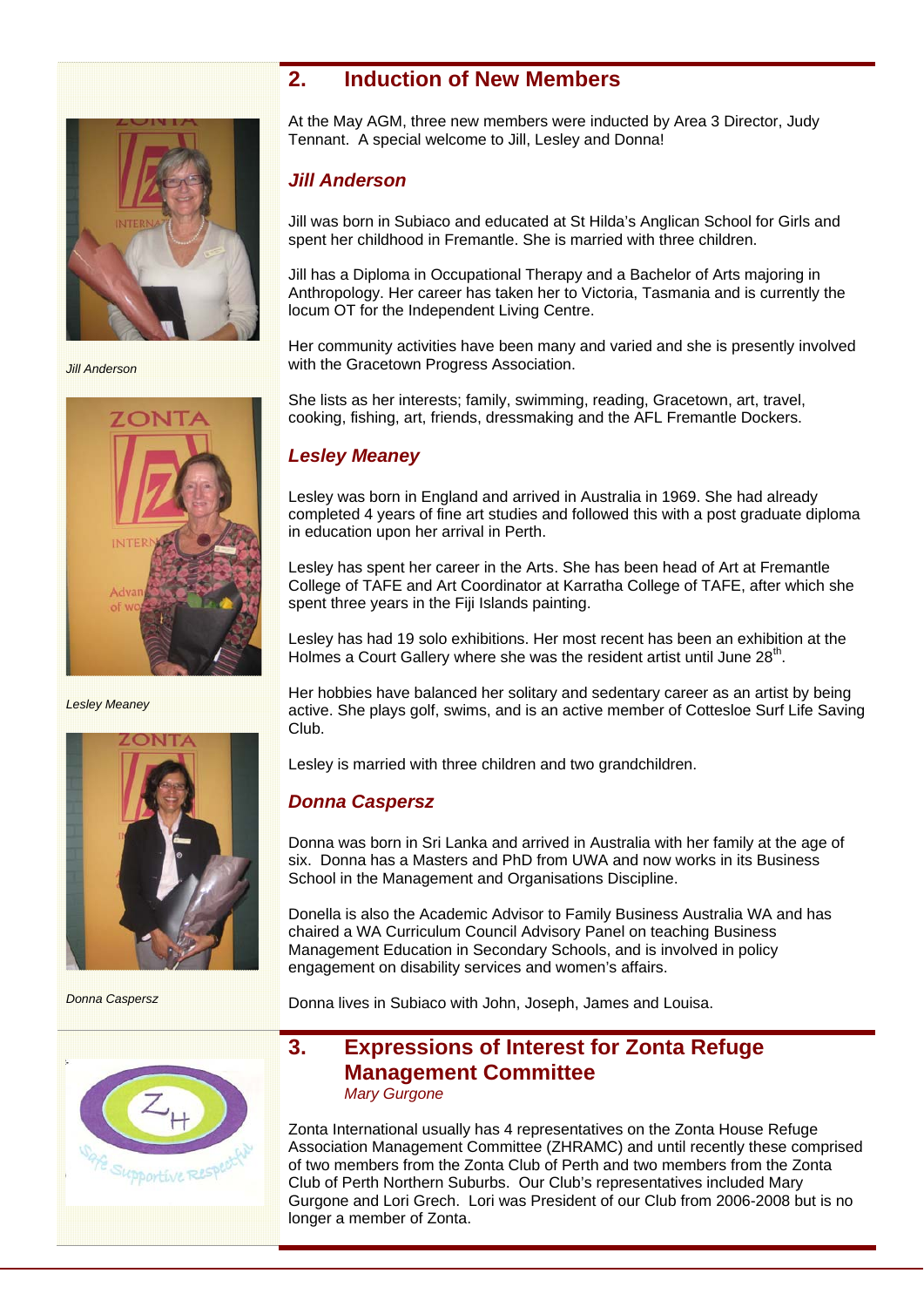# **2. Induction of New Members**



*Jill Anderson* 



*Lesley Meaney* 



*Donna Caspersz* 



At the May AGM, three new members were inducted by Area 3 Director, Judy Tennant. A special welcome to Jill, Lesley and Donna!

# *Jill Anderson*

Jill was born in Subiaco and educated at St Hilda's Anglican School for Girls and spent her childhood in Fremantle. She is married with three children.

Jill has a Diploma in Occupational Therapy and a Bachelor of Arts majoring in Anthropology. Her career has taken her to Victoria, Tasmania and is currently the locum OT for the Independent Living Centre.

Her community activities have been many and varied and she is presently involved with the Gracetown Progress Association.

She lists as her interests; family, swimming, reading, Gracetown, art, travel, cooking, fishing, art, friends, dressmaking and the AFL Fremantle Dockers.

# *Lesley Meaney*

Lesley was born in England and arrived in Australia in 1969. She had already completed 4 years of fine art studies and followed this with a post graduate diploma in education upon her arrival in Perth.

Lesley has spent her career in the Arts. She has been head of Art at Fremantle College of TAFE and Art Coordinator at Karratha College of TAFE, after which she spent three years in the Fiji Islands painting.

Lesley has had 19 solo exhibitions. Her most recent has been an exhibition at the Holmes a Court Gallery where she was the resident artist until June 28<sup>th</sup>.

Her hobbies have balanced her solitary and sedentary career as an artist by being active. She plays golf, swims, and is an active member of Cottesloe Surf Life Saving Club.

Lesley is married with three children and two grandchildren.

### *Donna Caspersz*

Donna was born in Sri Lanka and arrived in Australia with her family at the age of six. Donna has a Masters and PhD from UWA and now works in its Business School in the Management and Organisations Discipline.

Donella is also the Academic Advisor to Family Business Australia WA and has chaired a WA Curriculum Council Advisory Panel on teaching Business Management Education in Secondary Schools, and is involved in policy engagement on disability services and women's affairs.

Donna lives in Subiaco with John, Joseph, James and Louisa.

# **3. Expressions of Interest for Zonta Refuge Management Committee**  *Mary Gurgone*

Zonta International usually has 4 representatives on the Zonta House Refuge Association Management Committee (ZHRAMC) and until recently these comprised of two members from the Zonta Club of Perth and two members from the Zonta Club of Perth Northern Suburbs. Our Club's representatives included Mary Gurgone and Lori Grech. Lori was President of our Club from 2006-2008 but is no longer a member of Zonta.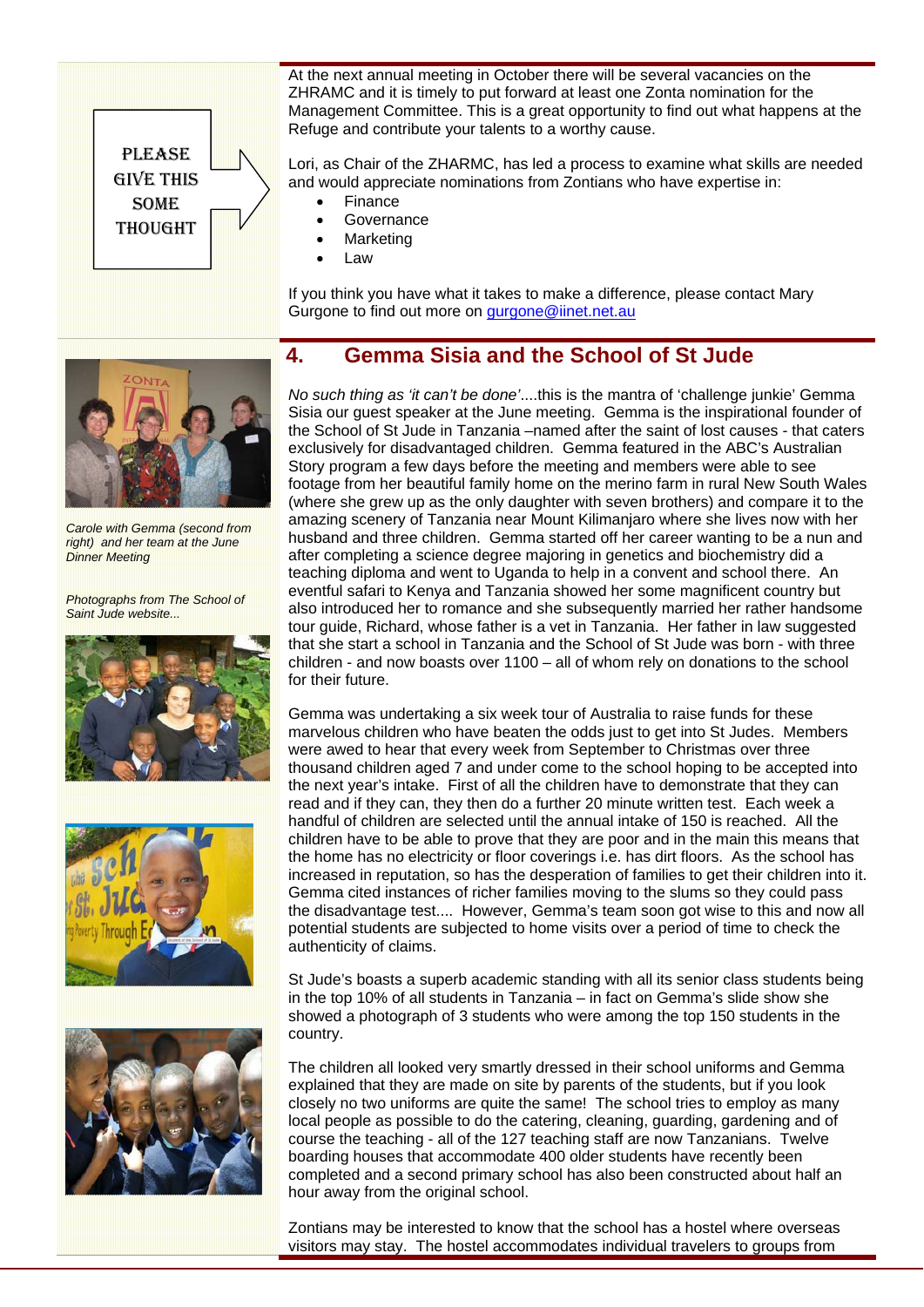

At the next annual meeting in October there will be several vacancies on the ZHRAMC and it is timely to put forward at least one Zonta nomination for the Management Committee. This is a great opportunity to find out what happens at the Refuge and contribute your talents to a worthy cause.

Lori, as Chair of the ZHARMC, has led a process to examine what skills are needed and would appreciate nominations from Zontians who have expertise in:

- Finance
- **Governance**
- **Marketing**
- Law

If you think you have what it takes to make a difference, please contact Mary Gurgone to find out more on gurgone@iinet.net.au

# **4. Gemma Sisia and the School of St Jude**



*Carole with Gemma (second from right) and her team at the June Dinner Meeting* 

*Photographs from The School of Saint Jude website...* 







*No such thing as 'it can't be done'*....this is the mantra of 'challenge junkie' Gemma Sisia our guest speaker at the June meeting. Gemma is the inspirational founder of the School of St Jude in Tanzania –named after the saint of lost causes - that caters exclusively for disadvantaged children. Gemma featured in the ABC's Australian Story program a few days before the meeting and members were able to see footage from her beautiful family home on the merino farm in rural New South Wales (where she grew up as the only daughter with seven brothers) and compare it to the amazing scenery of Tanzania near Mount Kilimanjaro where she lives now with her husband and three children. Gemma started off her career wanting to be a nun and after completing a science degree majoring in genetics and biochemistry did a teaching diploma and went to Uganda to help in a convent and school there. An eventful safari to Kenya and Tanzania showed her some magnificent country but also introduced her to romance and she subsequently married her rather handsome tour guide, Richard, whose father is a vet in Tanzania. Her father in law suggested that she start a school in Tanzania and the School of St Jude was born - with three children - and now boasts over 1100 – all of whom rely on donations to the school for their future.

Gemma was undertaking a six week tour of Australia to raise funds for these marvelous children who have beaten the odds just to get into St Judes. Members were awed to hear that every week from September to Christmas over three thousand children aged 7 and under come to the school hoping to be accepted into the next year's intake. First of all the children have to demonstrate that they can read and if they can, they then do a further 20 minute written test. Each week a handful of children are selected until the annual intake of 150 is reached. All the children have to be able to prove that they are poor and in the main this means that the home has no electricity or floor coverings i.e. has dirt floors. As the school has increased in reputation, so has the desperation of families to get their children into it. Gemma cited instances of richer families moving to the slums so they could pass the disadvantage test.... However, Gemma's team soon got wise to this and now all potential students are subjected to home visits over a period of time to check the authenticity of claims.

St Jude's boasts a superb academic standing with all its senior class students being in the top 10% of all students in Tanzania – in fact on Gemma's slide show she showed a photograph of 3 students who were among the top 150 students in the country.

The children all looked very smartly dressed in their school uniforms and Gemma explained that they are made on site by parents of the students, but if you look closely no two uniforms are quite the same! The school tries to employ as many local people as possible to do the catering, cleaning, guarding, gardening and of course the teaching - all of the 127 teaching staff are now Tanzanians. Twelve boarding houses that accommodate 400 older students have recently been completed and a second primary school has also been constructed about half an hour away from the original school.

Zontians may be interested to know that the school has a hostel where overseas visitors may stay. The hostel accommodates individual travelers to groups from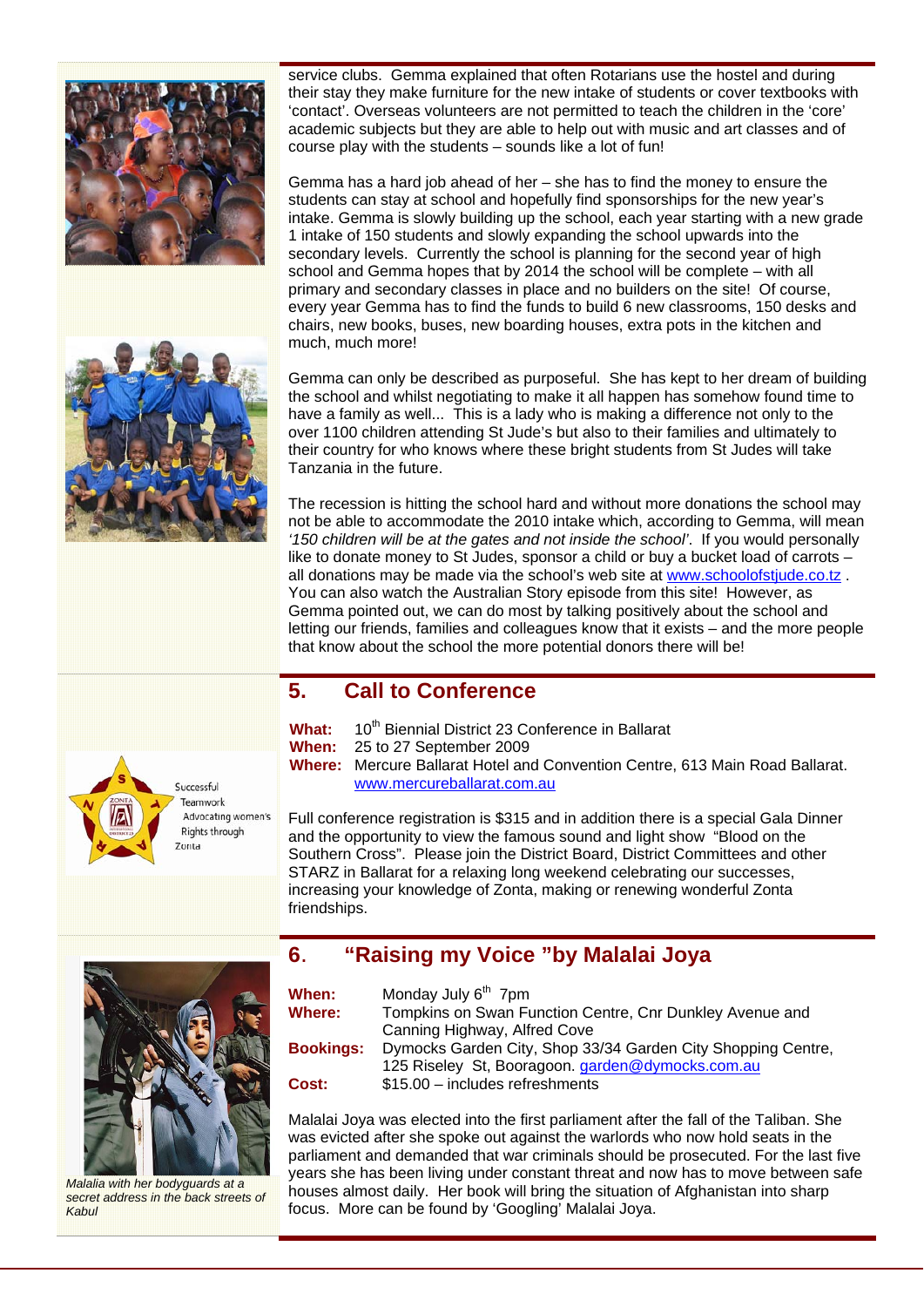



service clubs. Gemma explained that often Rotarians use the hostel and during their stay they make furniture for the new intake of students or cover textbooks with 'contact'. Overseas volunteers are not permitted to teach the children in the 'core' academic subjects but they are able to help out with music and art classes and of course play with the students – sounds like a lot of fun!

Gemma has a hard job ahead of her – she has to find the money to ensure the students can stay at school and hopefully find sponsorships for the new year's intake. Gemma is slowly building up the school, each year starting with a new grade 1 intake of 150 students and slowly expanding the school upwards into the secondary levels. Currently the school is planning for the second year of high school and Gemma hopes that by 2014 the school will be complete – with all primary and secondary classes in place and no builders on the site! Of course, every year Gemma has to find the funds to build 6 new classrooms, 150 desks and chairs, new books, buses, new boarding houses, extra pots in the kitchen and much, much more!

Gemma can only be described as purposeful. She has kept to her dream of building the school and whilst negotiating to make it all happen has somehow found time to have a family as well... This is a lady who is making a difference not only to the over 1100 children attending St Jude's but also to their families and ultimately to their country for who knows where these bright students from St Judes will take Tanzania in the future.

The recession is hitting the school hard and without more donations the school may not be able to accommodate the 2010 intake which, according to Gemma, will mean *'150 children will be at the gates and not inside the school'*. If you would personally like to donate money to St Judes, sponsor a child or buy a bucket load of carrots – all donations may be made via the school's web site at www.schoolofstiude.co.tz. You can also watch the Australian Story episode from this site! However, as Gemma pointed out, we can do most by talking positively about the school and letting our friends, families and colleagues know that it exists – and the more people that know about the school the more potential donors there will be!

# **5. Call to Conference**



What: 10<sup>th</sup> Biennial District 23 Conference in Ballarat **When:** 25 to 27 September 2009 **Where:** Mercure Ballarat Hotel and Convention Centre, 613 Main Road Ballarat. www.mercureballarat.com.au

Full conference registration is \$315 and in addition there is a special Gala Dinner and the opportunity to view the famous sound and light show "Blood on the Southern Cross". Please join the District Board, District Committees and other STARZ in Ballarat for a relaxing long weekend celebrating our successes, increasing your knowledge of Zonta, making or renewing wonderful Zonta friendships.



*Malalia with her bodyguards at a secret address in the back streets of Kabul* 

### **When:** Monday July 6<sup>th</sup> 7pm **Where:** Tompkins on Swan Function Centre, Cnr Dunkley Avenue and Canning Highway, Alfred Cove **Bookings:** Dymocks Garden City, Shop 33/34 Garden City Shopping Centre, 125 Riseley St, Booragoon. garden@dymocks.com.au **Cost:** \$15.00 – includes refreshments

**6**. **"Raising my Voice "by Malalai Joya**

Malalai Joya was elected into the first parliament after the fall of the Taliban. She was evicted after she spoke out against the warlords who now hold seats in the parliament and demanded that war criminals should be prosecuted. For the last five years she has been living under constant threat and now has to move between safe houses almost daily. Her book will bring the situation of Afghanistan into sharp focus. More can be found by 'Googling' Malalai Joya.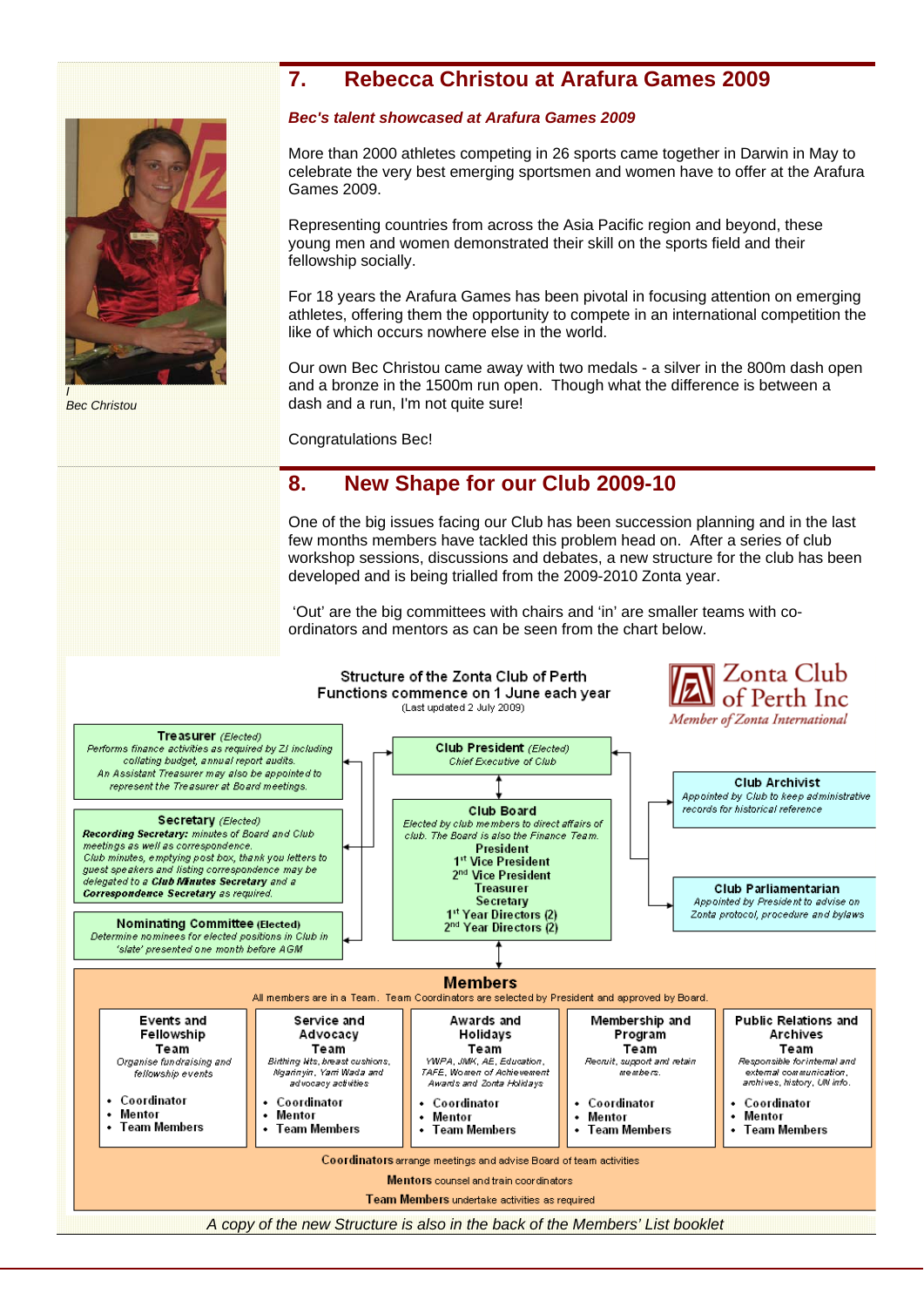# **7. Rebecca Christou at Arafura Games 2009**



*Bec Christou* 

### *Bec's talent showcased at Arafura Games 2009*

More than 2000 athletes competing in 26 sports came together in Darwin in May to celebrate the very best emerging sportsmen and women have to offer at the Arafura Games 2009.

Representing countries from across the Asia Pacific region and beyond, these young men and women demonstrated their skill on the sports field and their fellowship socially.

For 18 years the Arafura Games has been pivotal in focusing attention on emerging athletes, offering them the opportunity to compete in an international competition the like of which occurs nowhere else in the world.

Our own Bec Christou came away with two medals - a silver in the 800m dash open and a bronze in the 1500m run open. Though what the difference is between a dash and a run. I'm not quite sure!

Congratulations Bec!

# **8. New Shape for our Club 2009-10**

One of the big issues facing our Club has been succession planning and in the last few months members have tackled this problem head on. After a series of club workshop sessions, discussions and debates, a new structure for the club has been developed and is being trialled from the 2009-2010 Zonta year.

 'Out' are the big committees with chairs and 'in' are smaller teams with coordinators and mentors as can be seen from the chart below.